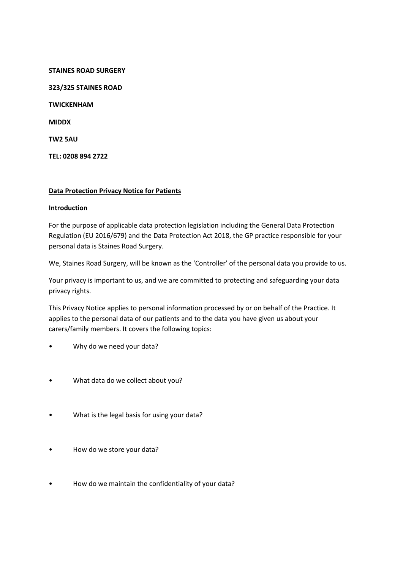**STAINES ROAD SURGERY 323/325 STAINES ROAD TWICKENHAM MIDDX TW2 5AU TEL: 0208 894 2722**

## **Data Protection Privacy Notice for Patients**

### **Introduction**

For the purpose of applicable data protection legislation including the General Data Protection Regulation (EU 2016/679) and the Data Protection Act 2018, the GP practice responsible for your personal data is Staines Road Surgery.

We, Staines Road Surgery, will be known as the 'Controller' of the personal data you provide to us.

Your privacy is important to us, and we are committed to protecting and safeguarding your data privacy rights.

This Privacy Notice applies to personal information processed by or on behalf of the Practice. It applies to the personal data of our patients and to the data you have given us about your carers/family members. It covers the following topics:

- Why do we need your data?
- What data do we collect about you?
- What is the legal basis for using your data?
- How do we store your data?
- How do we maintain the confidentiality of your data?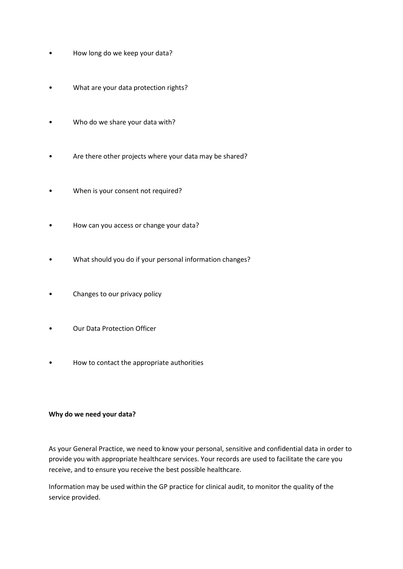- How long do we keep your data?
- What are your data protection rights?
- Who do we share your data with?
- Are there other projects where your data may be shared?
- When is your consent not required?
- How can you access or change your data?
- What should you do if your personal information changes?
- Changes to our privacy policy
- Our Data Protection Officer
- How to contact the appropriate authorities

### **Why do we need your data?**

As your General Practice, we need to know your personal, sensitive and confidential data in order to provide you with appropriate healthcare services. Your records are used to facilitate the care you receive, and to ensure you receive the best possible healthcare.

Information may be used within the GP practice for clinical audit, to monitor the quality of the service provided.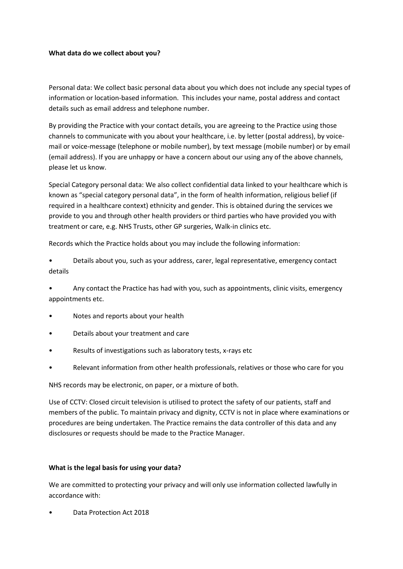## **What data do we collect about you?**

Personal data: We collect basic personal data about you which does not include any special types of information or location-based information. This includes your name, postal address and contact details such as email address and telephone number.

By providing the Practice with your contact details, you are agreeing to the Practice using those channels to communicate with you about your healthcare, i.e. by letter (postal address), by voicemail or voice-message (telephone or mobile number), by text message (mobile number) or by email (email address). If you are unhappy or have a concern about our using any of the above channels, please let us know.

Special Category personal data: We also collect confidential data linked to your healthcare which is known as "special category personal data", in the form of health information, religious belief (if required in a healthcare context) ethnicity and gender. This is obtained during the services we provide to you and through other health providers or third parties who have provided you with treatment or care, e.g. NHS Trusts, other GP surgeries, Walk-in clinics etc.

Records which the Practice holds about you may include the following information:

• Details about you, such as your address, carer, legal representative, emergency contact details

• Any contact the Practice has had with you, such as appointments, clinic visits, emergency appointments etc.

- Notes and reports about your health
- Details about your treatment and care
- Results of investigations such as laboratory tests, x-rays etc
- Relevant information from other health professionals, relatives or those who care for you

NHS records may be electronic, on paper, or a mixture of both.

Use of CCTV: Closed circuit television is utilised to protect the safety of our patients, staff and members of the public. To maintain privacy and dignity, CCTV is not in place where examinations or procedures are being undertaken. The Practice remains the data controller of this data and any disclosures or requests should be made to the Practice Manager.

## **What is the legal basis for using your data?**

We are committed to protecting your privacy and will only use information collected lawfully in accordance with:

• Data Protection Act 2018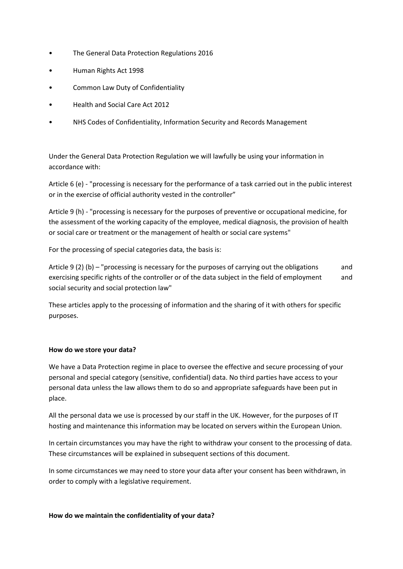- The General Data Protection Regulations 2016
- Human Rights Act 1998
- Common Law Duty of Confidentiality
- Health and Social Care Act 2012
- NHS Codes of Confidentiality, Information Security and Records Management

Under the General Data Protection Regulation we will lawfully be using your information in accordance with:

Article 6 (e) - "processing is necessary for the performance of a task carried out in the public interest or in the exercise of official authority vested in the controller"

Article 9 (h) - "processing is necessary for the purposes of preventive or occupational medicine, for the assessment of the working capacity of the employee, medical diagnosis, the provision of health or social care or treatment or the management of health or social care systems"

For the processing of special categories data, the basis is:

Article 9 (2) (b) – "processing is necessary for the purposes of carrying out the obligations and exercising specific rights of the controller or of the data subject in the field of employment and social security and social protection law"

These articles apply to the processing of information and the sharing of it with others for specific purposes.

## **How do we store your data?**

We have a Data Protection regime in place to oversee the effective and secure processing of your personal and special category (sensitive, confidential) data. No third parties have access to your personal data unless the law allows them to do so and appropriate safeguards have been put in place.

All the personal data we use is processed by our staff in the UK. However, for the purposes of IT hosting and maintenance this information may be located on servers within the European Union.

In certain circumstances you may have the right to withdraw your consent to the processing of data. These circumstances will be explained in subsequent sections of this document.

In some circumstances we may need to store your data after your consent has been withdrawn, in order to comply with a legislative requirement.

### **How do we maintain the confidentiality of your data?**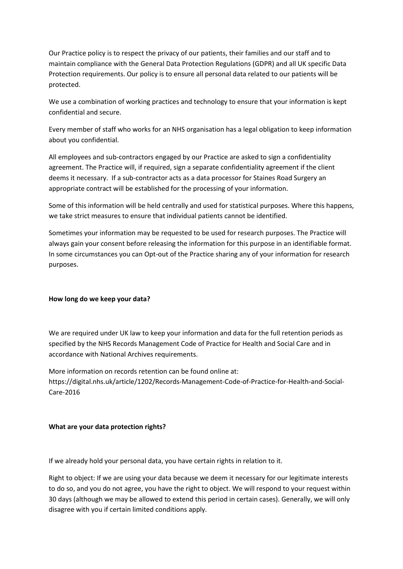Our Practice policy is to respect the privacy of our patients, their families and our staff and to maintain compliance with the General Data Protection Regulations (GDPR) and all UK specific Data Protection requirements. Our policy is to ensure all personal data related to our patients will be protected.

We use a combination of working practices and technology to ensure that your information is kept confidential and secure.

Every member of staff who works for an NHS organisation has a legal obligation to keep information about you confidential.

All employees and sub-contractors engaged by our Practice are asked to sign a confidentiality agreement. The Practice will, if required, sign a separate confidentiality agreement if the client deems it necessary. If a sub-contractor acts as a data processor for Staines Road Surgery an appropriate contract will be established for the processing of your information.

Some of this information will be held centrally and used for statistical purposes. Where this happens, we take strict measures to ensure that individual patients cannot be identified.

Sometimes your information may be requested to be used for research purposes. The Practice will always gain your consent before releasing the information for this purpose in an identifiable format. In some circumstances you can Opt-out of the Practice sharing any of your information for research purposes.

## **How long do we keep your data?**

We are required under UK law to keep your information and data for the full retention periods as specified by the NHS Records Management Code of Practice for Health and Social Care and in accordance with National Archives requirements.

More information on records retention can be found online at: https://digital.nhs.uk/article/1202/Records-Management-Code-of-Practice-for-Health-and-Social-Care-2016

## **What are your data protection rights?**

If we already hold your personal data, you have certain rights in relation to it.

Right to object: If we are using your data because we deem it necessary for our legitimate interests to do so, and you do not agree, you have the right to object. We will respond to your request within 30 days (although we may be allowed to extend this period in certain cases). Generally, we will only disagree with you if certain limited conditions apply.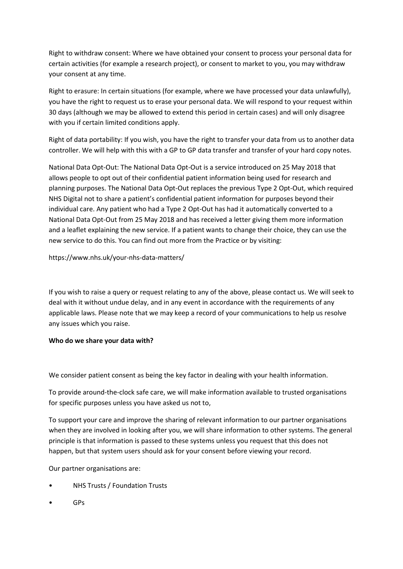Right to withdraw consent: Where we have obtained your consent to process your personal data for certain activities (for example a research project), or consent to market to you, you may withdraw your consent at any time.

Right to erasure: In certain situations (for example, where we have processed your data unlawfully), you have the right to request us to erase your personal data. We will respond to your request within 30 days (although we may be allowed to extend this period in certain cases) and will only disagree with you if certain limited conditions apply.

Right of data portability: If you wish, you have the right to transfer your data from us to another data controller. We will help with this with a GP to GP data transfer and transfer of your hard copy notes.

National Data Opt-Out: The National Data Opt-Out is a service introduced on 25 May 2018 that allows people to opt out of their confidential patient information being used for research and planning purposes. The National Data Opt-Out replaces the previous Type 2 Opt-Out, which required NHS Digital not to share a patient's confidential patient information for purposes beyond their individual care. Any patient who had a Type 2 Opt-Out has had it automatically converted to a National Data Opt-Out from 25 May 2018 and has received a letter giving them more information and a leaflet explaining the new service. If a patient wants to change their choice, they can use the new service to do this. You can find out more from the Practice or by visiting:

https://www.nhs.uk/your-nhs-data-matters/

If you wish to raise a query or request relating to any of the above, please contact us. We will seek to deal with it without undue delay, and in any event in accordance with the requirements of any applicable laws. Please note that we may keep a record of your communications to help us resolve any issues which you raise.

# **Who do we share your data with?**

We consider patient consent as being the key factor in dealing with your health information.

To provide around-the-clock safe care, we will make information available to trusted organisations for specific purposes unless you have asked us not to,

To support your care and improve the sharing of relevant information to our partner organisations when they are involved in looking after you, we will share information to other systems. The general principle is that information is passed to these systems unless you request that this does not happen, but that system users should ask for your consent before viewing your record.

Our partner organisations are:

- NHS Trusts / Foundation Trusts
- GPs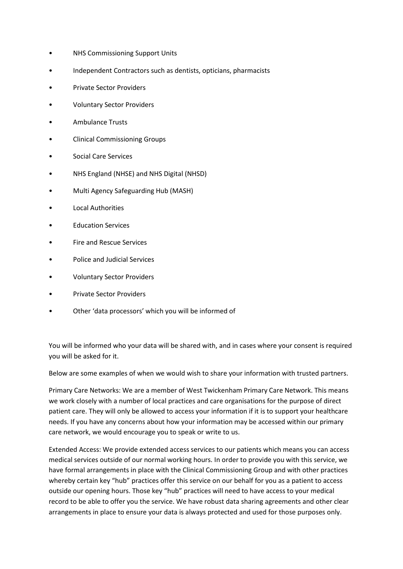- NHS Commissioning Support Units
- Independent Contractors such as dentists, opticians, pharmacists
- Private Sector Providers
- Voluntary Sector Providers
- Ambulance Trusts
- Clinical Commissioning Groups
- Social Care Services
- NHS England (NHSE) and NHS Digital (NHSD)
- Multi Agency Safeguarding Hub (MASH)
- Local Authorities
- **Education Services**
- Fire and Rescue Services
- Police and Judicial Services
- Voluntary Sector Providers
- Private Sector Providers
- Other 'data processors' which you will be informed of

You will be informed who your data will be shared with, and in cases where your consent is required you will be asked for it.

Below are some examples of when we would wish to share your information with trusted partners.

Primary Care Networks: We are a member of West Twickenham Primary Care Network. This means we work closely with a number of local practices and care organisations for the purpose of direct patient care. They will only be allowed to access your information if it is to support your healthcare needs. If you have any concerns about how your information may be accessed within our primary care network, we would encourage you to speak or write to us.

Extended Access: We provide extended access services to our patients which means you can access medical services outside of our normal working hours. In order to provide you with this service, we have formal arrangements in place with the Clinical Commissioning Group and with other practices whereby certain key "hub" practices offer this service on our behalf for you as a patient to access outside our opening hours. Those key "hub" practices will need to have access to your medical record to be able to offer you the service. We have robust data sharing agreements and other clear arrangements in place to ensure your data is always protected and used for those purposes only.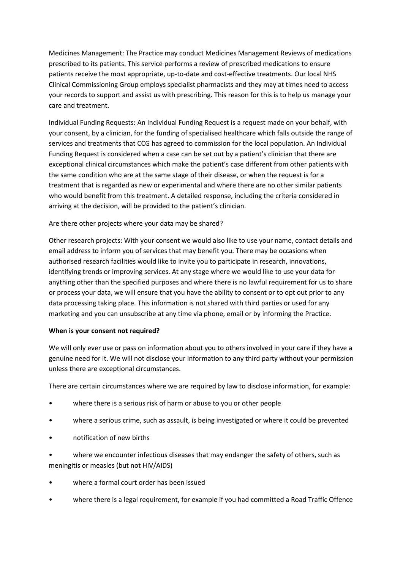Medicines Management: The Practice may conduct Medicines Management Reviews of medications prescribed to its patients. This service performs a review of prescribed medications to ensure patients receive the most appropriate, up-to-date and cost-effective treatments. Our local NHS Clinical Commissioning Group employs specialist pharmacists and they may at times need to access your records to support and assist us with prescribing. This reason for this is to help us manage your care and treatment.

Individual Funding Requests: An Individual Funding Request is a request made on your behalf, with your consent, by a clinician, for the funding of specialised healthcare which falls outside the range of services and treatments that CCG has agreed to commission for the local population. An Individual Funding Request is considered when a case can be set out by a patient's clinician that there are exceptional clinical circumstances which make the patient's case different from other patients with the same condition who are at the same stage of their disease, or when the request is for a treatment that is regarded as new or experimental and where there are no other similar patients who would benefit from this treatment. A detailed response, including the criteria considered in arriving at the decision, will be provided to the patient's clinician.

# Are there other projects where your data may be shared?

Other research projects: With your consent we would also like to use your name, contact details and email address to inform you of services that may benefit you. There may be occasions when authorised research facilities would like to invite you to participate in research, innovations, identifying trends or improving services. At any stage where we would like to use your data for anything other than the specified purposes and where there is no lawful requirement for us to share or process your data, we will ensure that you have the ability to consent or to opt out prior to any data processing taking place. This information is not shared with third parties or used for any marketing and you can unsubscribe at any time via phone, email or by informing the Practice.

# **When is your consent not required?**

We will only ever use or pass on information about you to others involved in your care if they have a genuine need for it. We will not disclose your information to any third party without your permission unless there are exceptional circumstances.

There are certain circumstances where we are required by law to disclose information, for example:

- where there is a serious risk of harm or abuse to you or other people
- where a serious crime, such as assault, is being investigated or where it could be prevented
- notification of new births

where we encounter infectious diseases that may endanger the safety of others, such as meningitis or measles (but not HIV/AIDS)

- where a formal court order has been issued
- where there is a legal requirement, for example if you had committed a Road Traffic Offence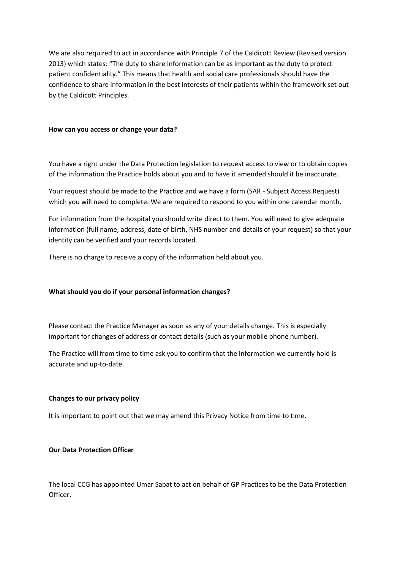We are also required to act in accordance with Principle 7 of the Caldicott Review (Revised version 2013) which states: "The duty to share information can be as important as the duty to protect patient confidentiality." This means that health and social care professionals should have the confidence to share information in the best interests of their patients within the framework set out by the Caldicott Principles.

### **How can you access or change your data?**

You have a right under the Data Protection legislation to request access to view or to obtain copies of the information the Practice holds about you and to have it amended should it be inaccurate.

Your request should be made to the Practice and we have a form (SAR - Subject Access Request) which you will need to complete. We are required to respond to you within one calendar month.

For information from the hospital you should write direct to them. You will need to give adequate information (full name, address, date of birth, NHS number and details of your request) so that your identity can be verified and your records located.

There is no charge to receive a copy of the information held about you.

#### **What should you do if your personal information changes?**

Please contact the Practice Manager as soon as any of your details change. This is especially important for changes of address or contact details (such as your mobile phone number).

The Practice will from time to time ask you to confirm that the information we currently hold is accurate and up-to-date.

#### **Changes to our privacy policy**

It is important to point out that we may amend this Privacy Notice from time to time.

### **Our Data Protection Officer**

The local CCG has appointed Umar Sabat to act on behalf of GP Practices to be the Data Protection Officer.